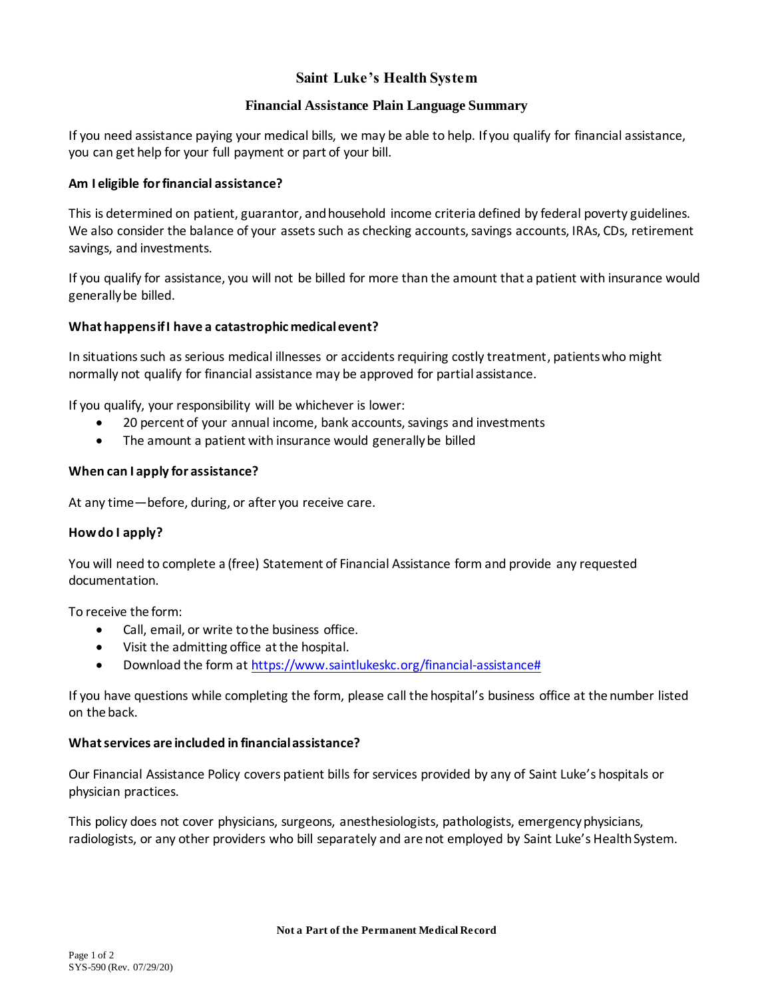# **Saint Luke's Health System**

## **Financial Assistance Plain Language Summary**

If you need assistance paying your medical bills, we may be able to help. If you qualify for financial assistance, you can get help for your full payment or part of your bill.

## **Am I eligible for financial assistance?**

This is determined on patient, guarantor, and household income criteria defined by federal poverty guidelines. We also consider the balance of your assets such as checking accounts, savings accounts, IRAs, CDs, retirement savings, and investments.

If you qualify for assistance, you will not be billed for more than the amount that a patient with insurance would generally be billed.

## **What happens if I have a catastrophic medical event?**

In situations such as serious medical illnesses or accidents requiring costly treatment, patients who might normally not qualify for financial assistance may be approved for partial assistance.

If you qualify, your responsibility will be whichever is lower:

- 20 percent of your annual income, bank accounts, savings and investments
- The amount a patient with insurance would generally be billed

## **When can I apply for assistance?**

At any time—before, during, or after you receive care.

## **How do I apply?**

You will need to complete a (free) Statement of Financial Assistance form and provide any requested documentation.

To receive the form:

- Call, email, or write to the business office.
- Visit the admitting office at the hospital.
- Download the form a[t https://www.saintlukeskc.org/financial-assistance#](https://www.saintlukeskc.org/financial-assistance)

If you have questions while completing the form, please call the hospital's business office at the number listed on the back.

## **What services are included in financial assistance?**

Our Financial Assistance Policy covers patient bills for services provided by any of Saint Luke's hospitals or physician practices.

This policy does not cover physicians, surgeons, anesthesiologists, pathologists, emergency physicians, radiologists, or any other providers who bill separately and are not employed by Saint Luke's Health System.